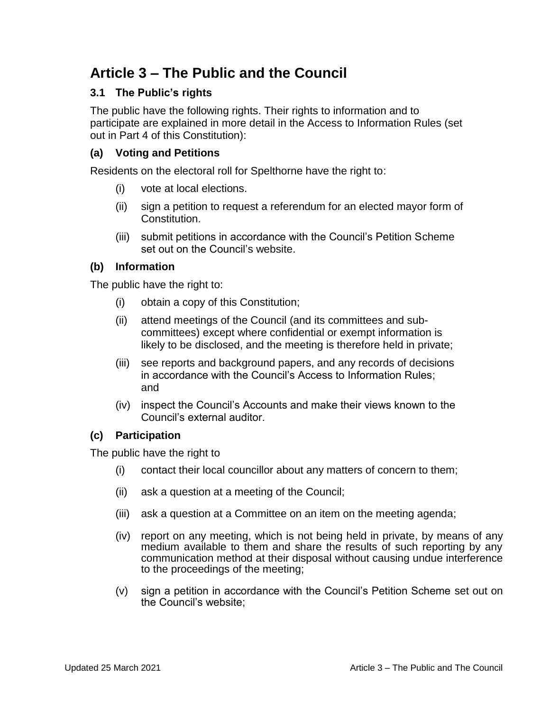# **Article 3 – The Public and the Council**

## **3.1 The Public's rights**

The public have the following rights. Their rights to information and to participate are explained in more detail in the Access to Information Rules (set out in Part 4 of this Constitution):

## **(a) Voting and Petitions**

Residents on the electoral roll for Spelthorne have the right to:

- (i) vote at local elections.
- (ii) sign a petition to request a referendum for an elected mayor form of Constitution.
- (iii) submit petitions in accordance with the Council's Petition Scheme set out on the Council's website.

## **(b) Information**

The public have the right to:

- (i) obtain a copy of this Constitution;
- (ii) attend meetings of the Council (and its committees and subcommittees) except where confidential or exempt information is likely to be disclosed, and the meeting is therefore held in private;
- (iii) see reports and background papers, and any records of decisions in accordance with the Council's Access to Information Rules; and
- (iv) inspect the Council's Accounts and make their views known to the Council's external auditor.

#### **(c) Participation**

The public have the right to

- (i) contact their local councillor about any matters of concern to them;
- (ii) ask a question at a meeting of the Council;
- (iii) ask a question at a Committee on an item on the meeting agenda;
- (iv) report on any meeting, which is not being held in private, by means of any medium available to them and share the results of such reporting by any communication method at their disposal without causing undue interference to the proceedings of the meeting;
- (v) sign a petition in accordance with the Council's Petition Scheme set out on the Council's website;